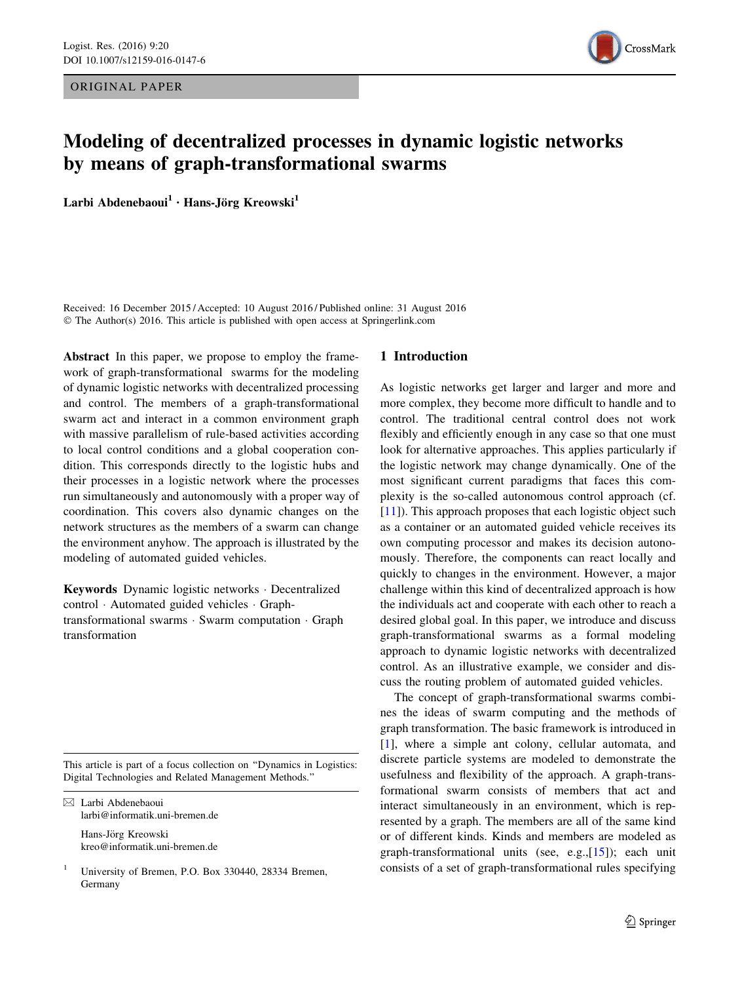ORIGINAL PAPER



# Modeling of decentralized processes in dynamic logistic networks by means of graph-transformational swarms

Larbi Abdenebaoui<sup>1</sup> · Hans-Jörg Kreowski<sup>1</sup>

Received: 16 December 2015 / Accepted: 10 August 2016 / Published online: 31 August 2016 © The Author(s) 2016. This article is published with open access at Springerlink.com

Abstract In this paper, we propose to employ the framework of graph-transformational swarms for the modeling of dynamic logistic networks with decentralized processing and control. The members of a graph-transformational swarm act and interact in a common environment graph with massive parallelism of rule-based activities according to local control conditions and a global cooperation condition. This corresponds directly to the logistic hubs and their processes in a logistic network where the processes run simultaneously and autonomously with a proper way of coordination. This covers also dynamic changes on the network structures as the members of a swarm can change the environment anyhow. The approach is illustrated by the modeling of automated guided vehicles.

Keywords Dynamic logistic networks - Decentralized control - Automated guided vehicles - Graphtransformational swarms - Swarm computation - Graph transformation

This article is part of a focus collection on ''Dynamics in Logistics: Digital Technologies and Related Management Methods.''

 $\boxtimes$  Larbi Abdenebaoui larbi@informatik.uni-bremen.de

> Hans-Jörg Kreowski kreo@informatik.uni-bremen.de

# 1 Introduction

As logistic networks get larger and larger and more and more complex, they become more difficult to handle and to control. The traditional central control does not work flexibly and efficiently enough in any case so that one must look for alternative approaches. This applies particularly if the logistic network may change dynamically. One of the most significant current paradigms that faces this complexity is the so-called autonomous control approach (cf. [\[11](#page-12-0)]). This approach proposes that each logistic object such as a container or an automated guided vehicle receives its own computing processor and makes its decision autonomously. Therefore, the components can react locally and quickly to changes in the environment. However, a major challenge within this kind of decentralized approach is how the individuals act and cooperate with each other to reach a desired global goal. In this paper, we introduce and discuss graph-transformational swarms as a formal modeling approach to dynamic logistic networks with decentralized control. As an illustrative example, we consider and discuss the routing problem of automated guided vehicles.

The concept of graph-transformational swarms combines the ideas of swarm computing and the methods of graph transformation. The basic framework is introduced in [\[1](#page-11-0)], where a simple ant colony, cellular automata, and discrete particle systems are modeled to demonstrate the usefulness and flexibility of the approach. A graph-transformational swarm consists of members that act and interact simultaneously in an environment, which is represented by a graph. The members are all of the same kind or of different kinds. Kinds and members are modeled as graph-transformational units (see, e.g.,[\[15](#page-12-0)]); each unit consists of a set of graph-transformational rules specifying

<sup>1</sup> University of Bremen, P.O. Box 330440, 28334 Bremen, Germany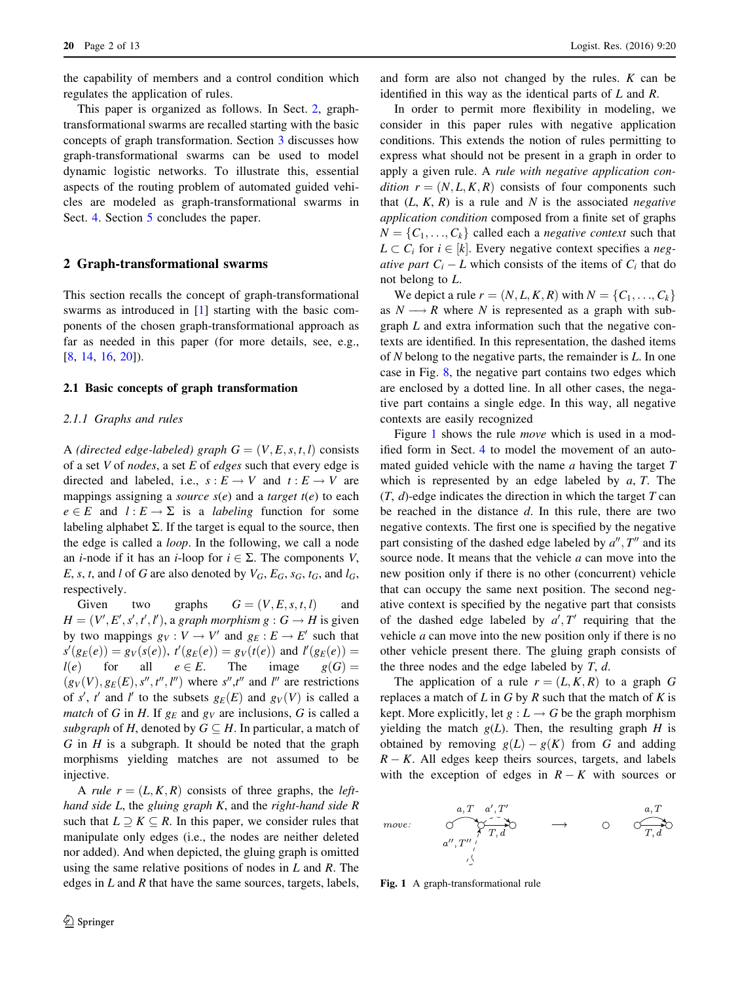the capability of members and a control condition which regulates the application of rules.

This paper is organized as follows. In Sect. 2, graphtransformational swarms are recalled starting with the basic concepts of graph transformation. Section [3](#page-3-0) discusses how graph-transformational swarms can be used to model dynamic logistic networks. To illustrate this, essential aspects of the routing problem of automated guided vehicles are modeled as graph-transformational swarms in Sect. [4](#page-5-0). Section [5](#page-11-0) concludes the paper.

### 2 Graph-transformational swarms

This section recalls the concept of graph-transformational swarms as introduced in [[1\]](#page-11-0) starting with the basic components of the chosen graph-transformational approach as far as needed in this paper (for more details, see, e.g., [\[8](#page-11-0), [14](#page-12-0), [16,](#page-12-0) [20\]](#page-12-0)).

### 2.1 Basic concepts of graph transformation

### 2.1.1 Graphs and rules

A (directed edge-labeled) graph  $G = (V, E, s, t, l)$  consists of a set  $V$  of nodes, a set  $E$  of edges such that every edge is directed and labeled, i.e.,  $s : E \to V$  and  $t : E \to V$  are mappings assigning a *source*  $s(e)$  and a *target*  $t(e)$  to each  $e \in E$  and  $l : E \to \Sigma$  is a *labeling* function for some labeling alphabet  $\Sigma$ . If the target is equal to the source, then the edge is called a loop. In the following, we call a node an *i*-node if it has an *i*-loop for  $i \in \Sigma$ . The components V, E, s, t, and l of G are also denoted by  $V_G$ ,  $E_G$ ,  $s_G$ ,  $t_G$ , and  $l_G$ , respectively.

Given two graphs  $G = (V, E, s, t, l)$  and  $H = (V', E', s', t', l')$ , a graph morphism  $g : G \to H$  is given by two mappings  $g_V : V \to V'$  and  $g_E : E \to E'$  such that  $s'(g_E(e)) = g_V(s(e)), t'(g_E(e)) = g_V(t(e))$  and  $l'(g_E(e)) =$  $l(e)$  for all  $e \in E$ . The image  $g(G) =$  $(g_V(V), g_E(E), s'', t'', l'')$  where  $s'', t''$  and l'' are restrictions of s', t' and l' to the subsets  $g_E(E)$  and  $g_V(V)$  is called a *match* of G in H. If  $g_F$  and  $g_V$  are inclusions, G is called a subgraph of H, denoted by  $G \subseteq H$ . In particular, a match of  $G$  in  $H$  is a subgraph. It should be noted that the graph morphisms yielding matches are not assumed to be injective.

A rule  $r = (L, K, R)$  consists of three graphs, the lefthand side  $L$ , the gluing graph  $K$ , and the right-hand side  $R$ such that  $L \supset K \subseteq R$ . In this paper, we consider rules that manipulate only edges (i.e., the nodes are neither deleted nor added). And when depicted, the gluing graph is omitted using the same relative positions of nodes in  $L$  and  $R$ . The edges in  $L$  and  $R$  that have the same sources, targets, labels,

and form are also not changed by the rules. K can be identified in this way as the identical parts of L and R.

In order to permit more flexibility in modeling, we consider in this paper rules with negative application conditions. This extends the notion of rules permitting to express what should not be present in a graph in order to apply a given rule. A rule with negative application condition  $r = (N, L, K, R)$  consists of four components such that  $(L, K, R)$  is a rule and N is the associated *negative* application condition composed from a finite set of graphs  $N = \{C_1, \ldots, C_k\}$  called each a *negative context* such that  $L \subset C_i$  for  $i \in [k]$ . Every negative context specifies a negative part  $C_i - L$  which consists of the items of  $C_i$  that do not belong to L.

We depict a rule  $r = (N, L, K, R)$  with  $N = \{C_1, \ldots, C_k\}$ as  $N \longrightarrow R$  where N is represented as a graph with subgraph L and extra information such that the negative contexts are identified. In this representation, the dashed items of N belong to the negative parts, the remainder is L. In one case in Fig. [8,](#page-9-0) the negative part contains two edges which are enclosed by a dotted line. In all other cases, the negative part contains a single edge. In this way, all negative contexts are easily recognized

Figure 1 shows the rule *move* which is used in a modified form in Sect. [4](#page-5-0) to model the movement of an automated guided vehicle with the name  $a$  having the target  $T$ which is represented by an edge labeled by  $a, T$ . The  $(T, d)$ -edge indicates the direction in which the target T can be reached in the distance  $d$ . In this rule, there are two negative contexts. The first one is specified by the negative part consisting of the dashed edge labeled by  $a''$ ,  $T''$  and its source node. It means that the vehicle *a* can move into the new position only if there is no other (concurrent) vehicle that can occupy the same next position. The second negative context is specified by the negative part that consists of the dashed edge labeled by  $a', T'$  requiring that the vehicle  $a$  can move into the new position only if there is no other vehicle present there. The gluing graph consists of the three nodes and the edge labeled by  $T$ ,  $d$ .

The application of a rule  $r = (L, K, R)$  to a graph G replaces a match of  $L$  in  $G$  by  $R$  such that the match of  $K$  is kept. More explicitly, let  $g: L \to G$  be the graph morphism yielding the match  $g(L)$ . Then, the resulting graph H is obtained by removing  $g(L) - g(K)$  from G and adding  $R - K$ . All edges keep theirs sources, targets, and labels with the exception of edges in  $R - K$  with sources or

Fig. 1 A graph-transformational rule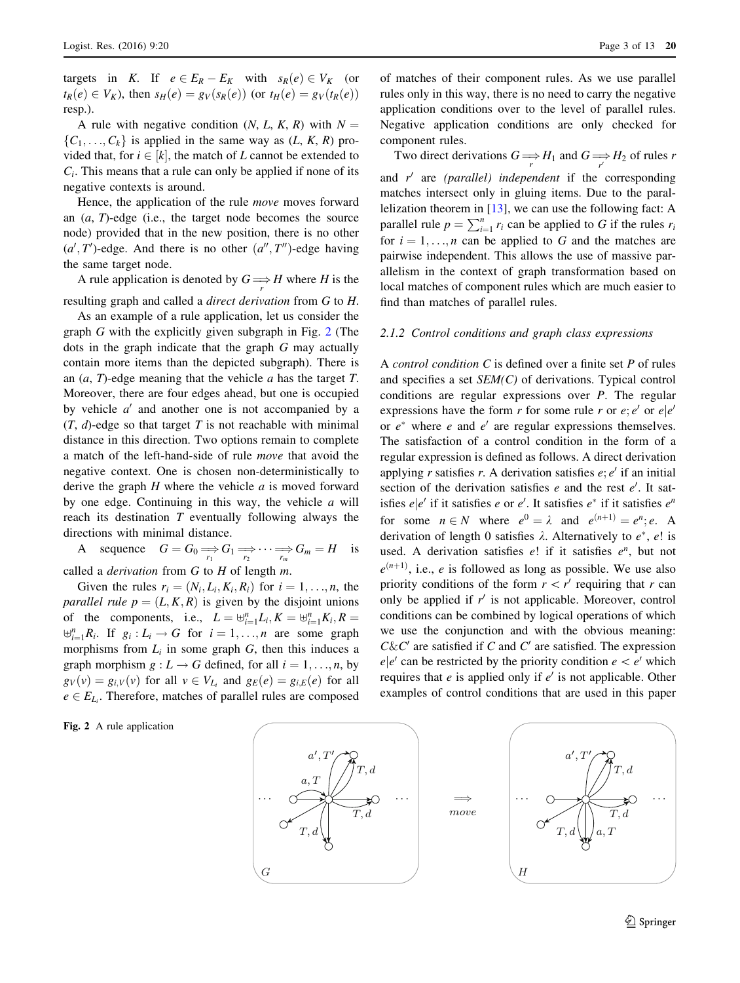<span id="page-2-0"></span>targets in K. If  $e \in E_R - E_K$  with  $s_R(e) \in V_K$  (or  $t_R(e) \in V_K$ ), then  $s_H(e) = g_V(s_R(e))$  (or  $t_H(e) = g_V(t_R(e))$ resp.).

A rule with negative condition  $(N, L, K, R)$  with  $N =$  $\{C_1, \ldots, C_k\}$  is applied in the same way as  $(L, K, R)$  provided that, for  $i \in [k]$ , the match of L cannot be extended to  $C_i$ . This means that a rule can only be applied if none of its negative contexts is around.

Hence, the application of the rule move moves forward an  $(a, T)$ -edge (i.e., the target node becomes the source node) provided that in the new position, there is no other  $(a', T')$ -edge. And there is no other  $(a'', T'')$ -edge having the same target node.

A rule application is denoted by  $G \Longrightarrow H$  where H is the resulting graph and called a direct derivation from G to H.

As an example of a rule application, let us consider the graph G with the explicitly given subgraph in Fig. 2 (The dots in the graph indicate that the graph G may actually contain more items than the depicted subgraph). There is an  $(a, T)$ -edge meaning that the vehicle  $a$  has the target  $T$ . Moreover, there are four edges ahead, but one is occupied by vehicle  $a'$  and another one is not accompanied by a  $(T, d)$ -edge so that target T is not reachable with minimal distance in this direction. Two options remain to complete a match of the left-hand-side of rule move that avoid the negative context. One is chosen non-deterministically to derive the graph  $H$  where the vehicle  $a$  is moved forward by one edge. Continuing in this way, the vehicle  $a$  will reach its destination  $T$  eventually following always the directions with minimal distance.

A sequence  $G = G_0 \Longrightarrow_{r_1} G_1 \Longrightarrow \cdots \Longrightarrow_{r_m} G_m = H$  is

called a *derivation* from  $G$  to  $H$  of length  $m$ .

Given the rules  $r_i = (N_i, L_i, K_i, R_i)$  for  $i = 1, \ldots, n$ , the parallel rule  $p = (L, K, R)$  is given by the disjoint unions of the components, i.e.,  $L = \biguplus_{i=1}^{n} L_i, K = \biguplus_{i=1}^{n} K_i, R =$  $\biguplus_{i=1}^{n} R_i$ . If  $g_i: L_i \to G$  for  $i = 1, ..., n$  are some graph morphisms from  $L_i$  in some graph  $G$ , then this induces a graph morphism  $g: L \to G$  defined, for all  $i = 1, \ldots, n$ , by  $g_V(v) = g_{i,V}(v)$  for all  $v \in V_{L_i}$  and  $g_E(e) = g_{i,E}(e)$  for all  $e \in E_{L_i}$ . Therefore, matches of parallel rules are composed

Fig. 2 A rule application

of matches of their component rules. As we use parallel rules only in this way, there is no need to carry the negative application conditions over to the level of parallel rules. Negative application conditions are only checked for component rules.

Two direct derivations  $G \Longrightarrow H_1$  and  $G \Longrightarrow H_2$  of rules r and  $r'$  are (parallel) independent if the corresponding matches intersect only in gluing items. Due to the parallelization theorem in [\[13](#page-12-0)], we can use the following fact: A parallel rule  $p = \sum_{i=1}^{n} r_i$  can be applied to G if the rules  $r_i$ for  $i = 1, \ldots, n$  can be applied to G and the matches are pairwise independent. This allows the use of massive parallelism in the context of graph transformation based on local matches of component rules which are much easier to find than matches of parallel rules.

#### 2.1.2 Control conditions and graph class expressions

A control condition C is defined over a finite set P of rules and specifies a set SEM(C) of derivations. Typical control conditions are regular expressions over P. The regular expressions have the form r for some rule r or  $e$ ;  $e'$  or  $e|e'$ or  $e^*$  where e and  $e'$  are regular expressions themselves. The satisfaction of a control condition in the form of a regular expression is defined as follows. A direct derivation applying r satisfies r. A derivation satisfies  $e$ ;  $e'$  if an initial section of the derivation satisfies  $e$  and the rest  $e'$ . It satisfies  $e|e'$  if it satisfies e or e'. It satisfies  $e^*$  if it satisfies  $e^n$ for some  $n \in N$  where  $e^0 = \lambda$  and  $e^{(n+1)} = e^n$ ; e. A derivation of length 0 satisfies  $\lambda$ . Alternatively to  $e^*$ ,  $e!$  is used. A derivation satisfies  $e!$  if it satisfies  $e^n$ , but not  $e^{(n+1)}$ , i.e., e is followed as long as possible. We use also priority conditions of the form  $r \lt r'$  requiring that r can only be applied if  $r'$  is not applicable. Moreover, control conditions can be combined by logical operations of which we use the conjunction and with the obvious meaning:  $C\&C'$  are satisfied if C and C' are satisfied. The expression  $e|e'$  can be restricted by the priority condition  $e < e'$  which requires that e is applied only if  $e'$  is not applicable. Other examples of control conditions that are used in this paper

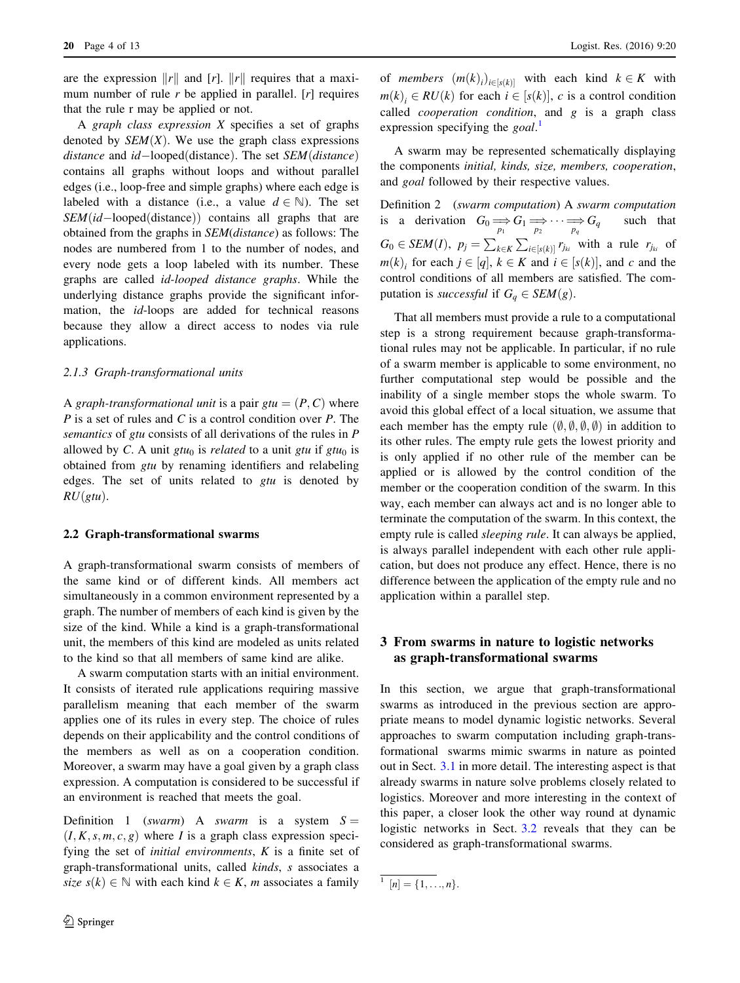<span id="page-3-0"></span>are the expression  $||r||$  and  $[r]$ .  $||r||$  requires that a maximum number of rule  $r$  be applied in parallel.  $[r]$  requires that the rule r may be applied or not.

A graph class expression X specifies a set of graphs denoted by  $SEM(X)$ . We use the graph class expressions distance and  $id$ -looped(distance). The set  $SEM$ (distance) contains all graphs without loops and without parallel edges (i.e., loop-free and simple graphs) where each edge is labeled with a distance (i.e., a value  $d \in \mathbb{N}$ ). The set  $SEM(id$ -looped $(distance)$  contains all graphs that are obtained from the graphs in SEM(distance) as follows: The nodes are numbered from 1 to the number of nodes, and every node gets a loop labeled with its number. These graphs are called id-looped distance graphs. While the underlying distance graphs provide the significant information, the id-loops are added for technical reasons because they allow a direct access to nodes via rule applications.

#### 2.1.3 Graph-transformational units

A graph-transformational unit is a pair  $gtu = (P, C)$  where  $P$  is a set of rules and  $C$  is a control condition over  $P$ . The semantics of gtu consists of all derivations of the rules in P allowed by C. A unit gtu<sub>0</sub> is *related* to a unit gtu if gtu<sub>0</sub> is obtained from gtu by renaming identifiers and relabeling edges. The set of units related to  $gtu$  is denoted by  $RU(gtu)$ .

### 2.2 Graph-transformational swarms

A graph-transformational swarm consists of members of the same kind or of different kinds. All members act simultaneously in a common environment represented by a graph. The number of members of each kind is given by the size of the kind. While a kind is a graph-transformational unit, the members of this kind are modeled as units related to the kind so that all members of same kind are alike.

A swarm computation starts with an initial environment. It consists of iterated rule applications requiring massive parallelism meaning that each member of the swarm applies one of its rules in every step. The choice of rules depends on their applicability and the control conditions of the members as well as on a cooperation condition. Moreover, a swarm may have a goal given by a graph class expression. A computation is considered to be successful if an environment is reached that meets the goal.

Definition 1 (swarm) A swarm is a system  $S =$  $(I, K, s, m, c, g)$  where I is a graph class expression specifying the set of *initial environments*,  $K$  is a finite set of graph-transformational units, called kinds, s associates a size  $s(k) \in \mathbb{N}$  with each kind  $k \in K$ , m associates a family

of *members*  $(m(k)_i)_{i \in [s(k)]}$  with each kind  $k \in K$  with  $m(k)$ ,  $\in RU(k)$  for each  $i \in [s(k)]$ , c is a control condition called *cooperation condition*, and  $g$  is a graph class expression specifying the  $goal$ .

A swarm may be represented schematically displaying the components initial, kinds, size, members, cooperation, and goal followed by their respective values.

Definition 2 (swarm computation) A swarm computation is a derivation  $G_0 \Longrightarrow_{p_1} G_1 \Longrightarrow \cdots \Longrightarrow_{p_q} G \subset \text{SEM}(I)$   $p_q \to \sum_{p_1} P_q$ such that  $G_0 \in SEM(I), p_j = \sum_{k \in K} \sum_{i \in [s(k)]} \sum_{j_{ki}}$  with a rule  $r_{j_{ki}}$  of  $m(k)$  for each  $j \in [q]$ ,  $k \in K$  and  $i \in [s(k)]$ , and c and the control conditions of all members are satisfied. The computation is successful if  $G<sub>a</sub> \in SEM(g)$ .

That all members must provide a rule to a computational step is a strong requirement because graph-transformational rules may not be applicable. In particular, if no rule of a swarm member is applicable to some environment, no further computational step would be possible and the inability of a single member stops the whole swarm. To avoid this global effect of a local situation, we assume that each member has the empty rule  $(\emptyset, \emptyset, \emptyset, \emptyset)$  in addition to its other rules. The empty rule gets the lowest priority and is only applied if no other rule of the member can be applied or is allowed by the control condition of the member or the cooperation condition of the swarm. In this way, each member can always act and is no longer able to terminate the computation of the swarm. In this context, the empty rule is called sleeping rule. It can always be applied, is always parallel independent with each other rule application, but does not produce any effect. Hence, there is no difference between the application of the empty rule and no application within a parallel step.

# 3 From swarms in nature to logistic networks as graph-transformational swarms

In this section, we argue that graph-transformational swarms as introduced in the previous section are appropriate means to model dynamic logistic networks. Several approaches to swarm computation including graph-transformational swarms mimic swarms in nature as pointed out in Sect. [3.1](#page-4-0) in more detail. The interesting aspect is that already swarms in nature solve problems closely related to logistics. Moreover and more interesting in the context of this paper, a closer look the other way round at dynamic logistic networks in Sect. [3.2](#page-4-0) reveals that they can be considered as graph-transformational swarms.

 $\overline{1[n] = \{1, \ldots, n\}}$ .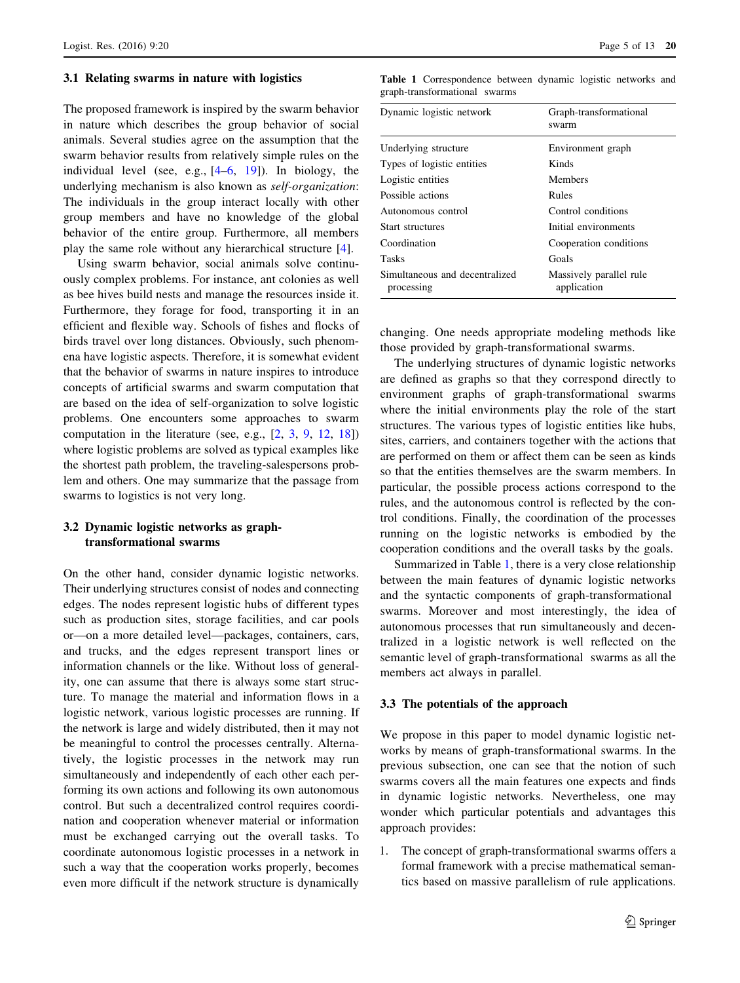#### <span id="page-4-0"></span>3.1 Relating swarms in nature with logistics

The proposed framework is inspired by the swarm behavior in nature which describes the group behavior of social animals. Several studies agree on the assumption that the swarm behavior results from relatively simple rules on the individual level (see, e.g., [[4–6,](#page-11-0) [19\]](#page-12-0)). In biology, the underlying mechanism is also known as self-organization: The individuals in the group interact locally with other group members and have no knowledge of the global behavior of the entire group. Furthermore, all members play the same role without any hierarchical structure [\[4](#page-11-0)].

Using swarm behavior, social animals solve continuously complex problems. For instance, ant colonies as well as bee hives build nests and manage the resources inside it. Furthermore, they forage for food, transporting it in an efficient and flexible way. Schools of fishes and flocks of birds travel over long distances. Obviously, such phenomena have logistic aspects. Therefore, it is somewhat evident that the behavior of swarms in nature inspires to introduce concepts of artificial swarms and swarm computation that are based on the idea of self-organization to solve logistic problems. One encounters some approaches to swarm computation in the literature (see, e.g., [\[2](#page-11-0), [3,](#page-11-0) [9](#page-11-0), [12,](#page-12-0) [18\]](#page-12-0)) where logistic problems are solved as typical examples like the shortest path problem, the traveling-salespersons problem and others. One may summarize that the passage from swarms to logistics is not very long.

# 3.2 Dynamic logistic networks as graphtransformational swarms

On the other hand, consider dynamic logistic networks. Their underlying structures consist of nodes and connecting edges. The nodes represent logistic hubs of different types such as production sites, storage facilities, and car pools or—on a more detailed level—packages, containers, cars, and trucks, and the edges represent transport lines or information channels or the like. Without loss of generality, one can assume that there is always some start structure. To manage the material and information flows in a logistic network, various logistic processes are running. If the network is large and widely distributed, then it may not be meaningful to control the processes centrally. Alternatively, the logistic processes in the network may run simultaneously and independently of each other each performing its own actions and following its own autonomous control. But such a decentralized control requires coordination and cooperation whenever material or information must be exchanged carrying out the overall tasks. To coordinate autonomous logistic processes in a network in such a way that the cooperation works properly, becomes even more difficult if the network structure is dynamically

Table 1 Correspondence between dynamic logistic networks and graph-transformational swarms

| Dynamic logistic network                     | Graph-transformational<br>swarm        |
|----------------------------------------------|----------------------------------------|
| Underlying structure                         | Environment graph                      |
| Types of logistic entities                   | Kinds                                  |
| Logistic entities                            | Members                                |
| Possible actions                             | Rules                                  |
| Autonomous control                           | Control conditions                     |
| Start structures                             | Initial environments                   |
| Coordination                                 | Cooperation conditions                 |
| Tasks                                        | Goals                                  |
| Simultaneous and decentralized<br>processing | Massively parallel rule<br>application |

changing. One needs appropriate modeling methods like those provided by graph-transformational swarms.

The underlying structures of dynamic logistic networks are defined as graphs so that they correspond directly to environment graphs of graph-transformational swarms where the initial environments play the role of the start structures. The various types of logistic entities like hubs, sites, carriers, and containers together with the actions that are performed on them or affect them can be seen as kinds so that the entities themselves are the swarm members. In particular, the possible process actions correspond to the rules, and the autonomous control is reflected by the control conditions. Finally, the coordination of the processes running on the logistic networks is embodied by the cooperation conditions and the overall tasks by the goals.

Summarized in Table 1, there is a very close relationship between the main features of dynamic logistic networks and the syntactic components of graph-transformational swarms. Moreover and most interestingly, the idea of autonomous processes that run simultaneously and decentralized in a logistic network is well reflected on the semantic level of graph-transformational swarms as all the members act always in parallel.

### 3.3 The potentials of the approach

We propose in this paper to model dynamic logistic networks by means of graph-transformational swarms. In the previous subsection, one can see that the notion of such swarms covers all the main features one expects and finds in dynamic logistic networks. Nevertheless, one may wonder which particular potentials and advantages this approach provides:

1. The concept of graph-transformational swarms offers a formal framework with a precise mathematical semantics based on massive parallelism of rule applications.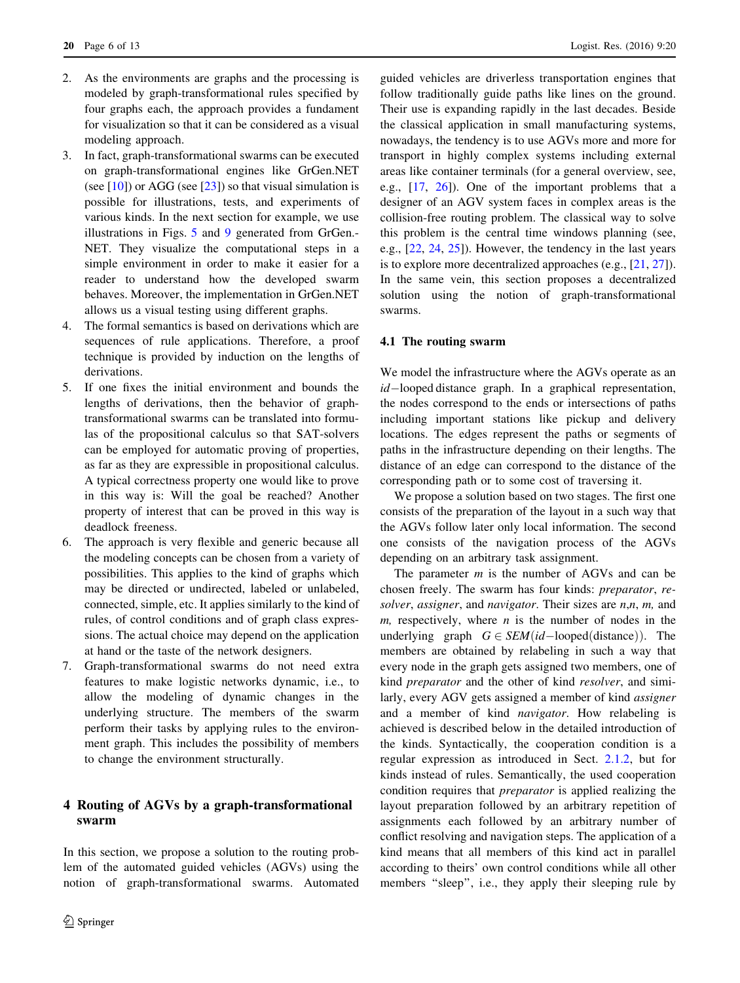- <span id="page-5-0"></span>2. As the environments are graphs and the processing is modeled by graph-transformational rules specified by four graphs each, the approach provides a fundament for visualization so that it can be considered as a visual modeling approach.
- 3. In fact, graph-transformational swarms can be executed on graph-transformational engines like GrGen.NET (see  $[10]$  $[10]$ ) or AGG (see  $[23]$  $[23]$ ) so that visual simulation is possible for illustrations, tests, and experiments of various kinds. In the next section for example, we use illustrations in Figs. [5](#page-7-0) and [9](#page-10-0) generated from GrGen.- NET. They visualize the computational steps in a simple environment in order to make it easier for a reader to understand how the developed swarm behaves. Moreover, the implementation in GrGen.NET allows us a visual testing using different graphs.
- 4. The formal semantics is based on derivations which are sequences of rule applications. Therefore, a proof technique is provided by induction on the lengths of derivations.
- 5. If one fixes the initial environment and bounds the lengths of derivations, then the behavior of graphtransformational swarms can be translated into formulas of the propositional calculus so that SAT-solvers can be employed for automatic proving of properties, as far as they are expressible in propositional calculus. A typical correctness property one would like to prove in this way is: Will the goal be reached? Another property of interest that can be proved in this way is deadlock freeness.
- 6. The approach is very flexible and generic because all the modeling concepts can be chosen from a variety of possibilities. This applies to the kind of graphs which may be directed or undirected, labeled or unlabeled, connected, simple, etc. It applies similarly to the kind of rules, of control conditions and of graph class expressions. The actual choice may depend on the application at hand or the taste of the network designers.
- 7. Graph-transformational swarms do not need extra features to make logistic networks dynamic, i.e., to allow the modeling of dynamic changes in the underlying structure. The members of the swarm perform their tasks by applying rules to the environment graph. This includes the possibility of members to change the environment structurally.

# 4 Routing of AGVs by a graph-transformational swarm

In this section, we propose a solution to the routing problem of the automated guided vehicles (AGVs) using the notion of graph-transformational swarms. Automated guided vehicles are driverless transportation engines that follow traditionally guide paths like lines on the ground. Their use is expanding rapidly in the last decades. Beside the classical application in small manufacturing systems, nowadays, the tendency is to use AGVs more and more for transport in highly complex systems including external areas like container terminals (for a general overview, see, e.g., [\[17](#page-12-0), [26\]](#page-12-0)). One of the important problems that a designer of an AGV system faces in complex areas is the collision-free routing problem. The classical way to solve this problem is the central time windows planning (see, e.g., [\[22,](#page-12-0) [24](#page-12-0), [25\]](#page-12-0)). However, the tendency in the last years is to explore more decentralized approaches (e.g., [\[21](#page-12-0), [27](#page-12-0)]). In the same vein, this section proposes a decentralized solution using the notion of graph-transformational swarms.

# 4.1 The routing swarm

We model the infrastructure where the AGVs operate as an  $id$ -looped distance graph. In a graphical representation, the nodes correspond to the ends or intersections of paths including important stations like pickup and delivery locations. The edges represent the paths or segments of paths in the infrastructure depending on their lengths. The distance of an edge can correspond to the distance of the corresponding path or to some cost of traversing it.

We propose a solution based on two stages. The first one consists of the preparation of the layout in a such way that the AGVs follow later only local information. The second one consists of the navigation process of the AGVs depending on an arbitrary task assignment.

The parameter  $m$  is the number of AGVs and can be chosen freely. The swarm has four kinds: preparator, resolver, assigner, and navigator. Their sizes are  $n, n, m$ , and  $m$ , respectively, where  $n$  is the number of nodes in the underlying graph  $G \in SEM(id-\text{looped}(\text{distance}))$ . The members are obtained by relabeling in such a way that every node in the graph gets assigned two members, one of kind preparator and the other of kind resolver, and similarly, every AGV gets assigned a member of kind assigner and a member of kind navigator. How relabeling is achieved is described below in the detailed introduction of the kinds. Syntactically, the cooperation condition is a regular expression as introduced in Sect. [2.1.2,](#page-2-0) but for kinds instead of rules. Semantically, the used cooperation condition requires that preparator is applied realizing the layout preparation followed by an arbitrary repetition of assignments each followed by an arbitrary number of conflict resolving and navigation steps. The application of a kind means that all members of this kind act in parallel according to theirs' own control conditions while all other members "sleep", i.e., they apply their sleeping rule by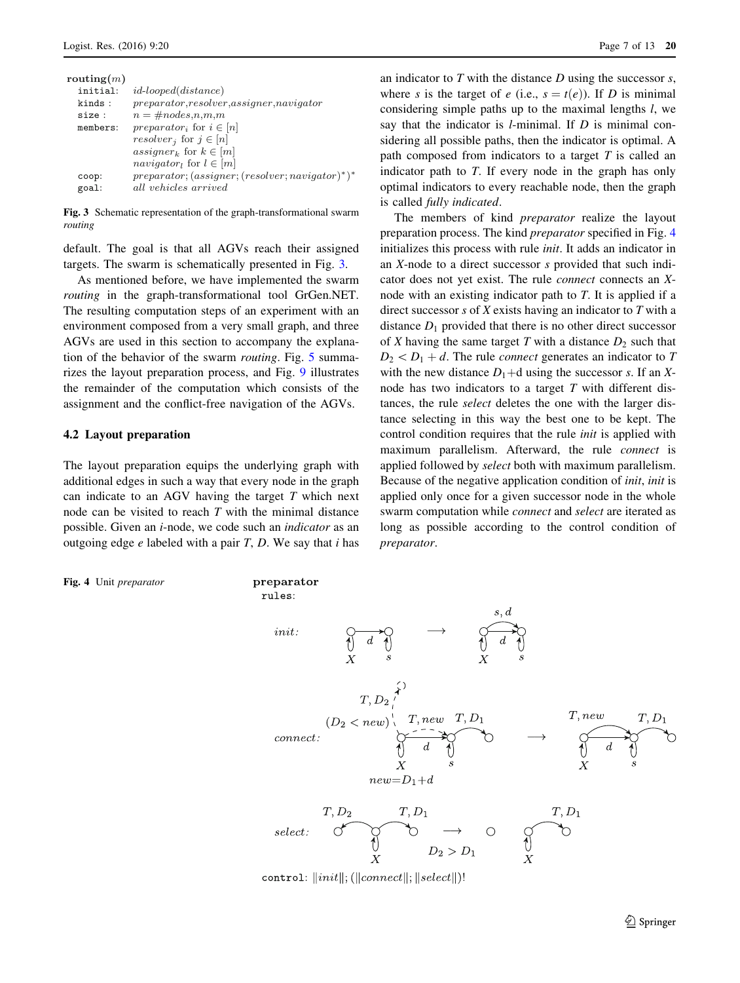| routing $(m)$ |                                                       |
|---------------|-------------------------------------------------------|
| initial:      | <i>id-looped</i> ( <i>distance</i> )                  |
| kinds:        | $preparator, resolver, assigner, navigation$          |
| size :        | $n = \text{\#nodes}, n, m, m$                         |
| members:      | <i>preparator<sub>i</sub></i> for $i \in [n]$         |
|               | <i>resolver</i> <sup>i</sup> for $j \in [n]$          |
|               | assigner <sub>k</sub> for $k \in [m]$                 |
|               | navigator <sub>l</sub> for $l \in [m]$                |
| coop:         | $preparator; (assignment; (resolver; navigation)*)$ * |
| goal:         | all vehicles arrived                                  |

Fig. 3 Schematic representation of the graph-transformational swarm routing

default. The goal is that all AGVs reach their assigned targets. The swarm is schematically presented in Fig. 3.

As mentioned before, we have implemented the swarm routing in the graph-transformational tool GrGen.NET. The resulting computation steps of an experiment with an environment composed from a very small graph, and three AGVs are used in this section to accompany the explanation of the behavior of the swarm routing. Fig. [5](#page-7-0) summarizes the layout preparation process, and Fig. [9](#page-10-0) illustrates the remainder of the computation which consists of the assignment and the conflict-free navigation of the AGVs.

#### 4.2 Layout preparation

The layout preparation equips the underlying graph with additional edges in such a way that every node in the graph can indicate to an AGV having the target  $T$  which next node can be visited to reach  $T$  with the minimal distance possible. Given an i-node, we code such an indicator as an outgoing edge  $e$  labeled with a pair  $T$ ,  $D$ . We say that  $i$  has

Fig. 4 Unit preparator

an indicator to  $T$  with the distance  $D$  using the successor  $s$ . where s is the target of e (i.e.,  $s = t(e)$ ). If D is minimal considering simple paths up to the maximal lengths l, we say that the indicator is  $l$ -minimal. If  $D$  is minimal considering all possible paths, then the indicator is optimal. A path composed from indicators to a target  $T$  is called an indicator path to T. If every node in the graph has only optimal indicators to every reachable node, then the graph is called fully indicated.

The members of kind *preparator* realize the layout preparation process. The kind preparator specified in Fig. 4 initializes this process with rule init. It adds an indicator in an X-node to a direct successor s provided that such indicator does not yet exist. The rule connect connects an Xnode with an existing indicator path to T. It is applied if a direct successor s of  $X$  exists having an indicator to  $T$  with a distance  $D_1$  provided that there is no other direct successor of X having the same target T with a distance  $D_2$  such that  $D_2 < D_1 + d$ . The rule *connect* generates an indicator to T with the new distance  $D_1 + d$  using the successor s. If an Xnode has two indicators to a target T with different distances, the rule select deletes the one with the larger distance selecting in this way the best one to be kept. The control condition requires that the rule init is applied with maximum parallelism. Afterward, the rule connect is applied followed by select both with maximum parallelism. Because of the negative application condition of init, init is applied only once for a given successor node in the whole swarm computation while connect and select are iterated as long as possible according to the control condition of preparator.



control:  $\|init\|$ ; ( $\|connect\|$ ;  $\|select\|$ )!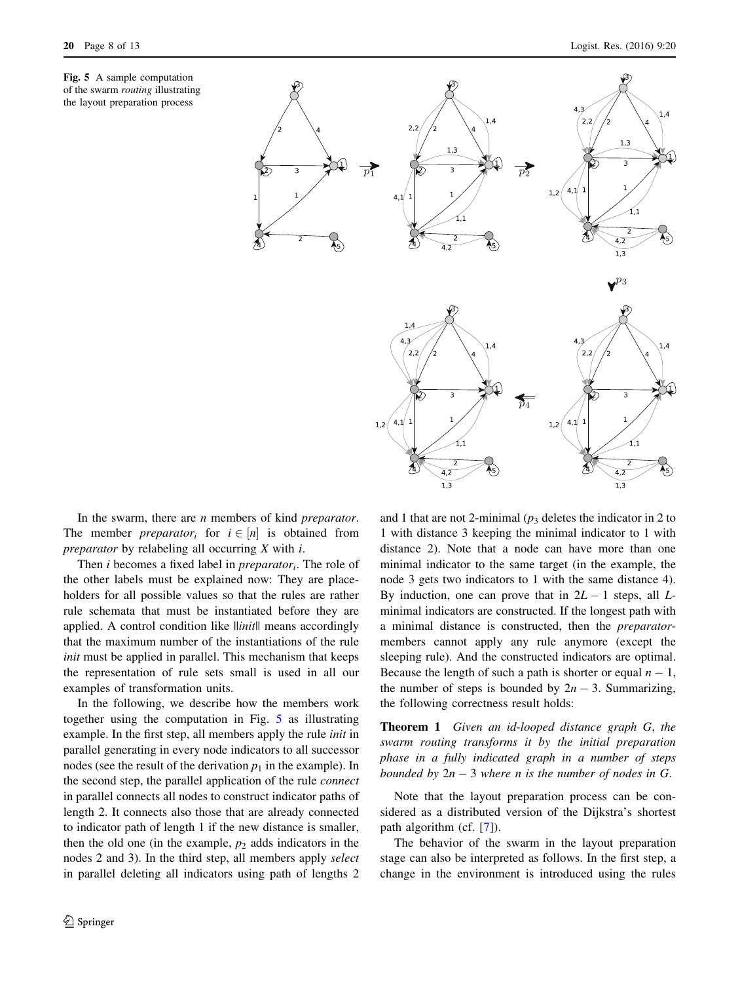<span id="page-7-0"></span>



In the swarm, there are  $n$  members of kind *preparator*. The member *preparator<sub>i</sub>* for  $i \in [n]$  is obtained from *preparator* by relabeling all occurring  $X$  with  $i$ .

Then *i* becomes a fixed label in *preparator<sub>i</sub>*. The role of the other labels must be explained now: They are placeholders for all possible values so that the rules are rather rule schemata that must be instantiated before they are applied. A control condition like  $\|$ *init* $\|$  means accordingly that the maximum number of the instantiations of the rule init must be applied in parallel. This mechanism that keeps the representation of rule sets small is used in all our examples of transformation units.

In the following, we describe how the members work together using the computation in Fig. 5 as illustrating example. In the first step, all members apply the rule init in parallel generating in every node indicators to all successor nodes (see the result of the derivation  $p_1$  in the example). In the second step, the parallel application of the rule *connect* in parallel connects all nodes to construct indicator paths of length 2. It connects also those that are already connected to indicator path of length 1 if the new distance is smaller, then the old one (in the example,  $p_2$  adds indicators in the nodes 2 and 3). In the third step, all members apply select in parallel deleting all indicators using path of lengths 2 and 1 that are not 2-minimal ( $p_3$  deletes the indicator in 2 to 1 with distance 3 keeping the minimal indicator to 1 with distance 2). Note that a node can have more than one minimal indicator to the same target (in the example, the node 3 gets two indicators to 1 with the same distance 4). By induction, one can prove that in  $2L - 1$  steps, all Lminimal indicators are constructed. If the longest path with a minimal distance is constructed, then the preparatormembers cannot apply any rule anymore (except the sleeping rule). And the constructed indicators are optimal. Because the length of such a path is shorter or equal  $n - 1$ , the number of steps is bounded by  $2n - 3$ . Summarizing, the following correctness result holds:

Theorem 1 Given an id-looped distance graph G, the swarm routing transforms it by the initial preparation phase in a fully indicated graph in a number of steps bounded by  $2n - 3$  where n is the number of nodes in G.

Note that the layout preparation process can be considered as a distributed version of the Dijkstra's shortest path algorithm (cf. [\[7](#page-11-0)]).

The behavior of the swarm in the layout preparation stage can also be interpreted as follows. In the first step, a change in the environment is introduced using the rules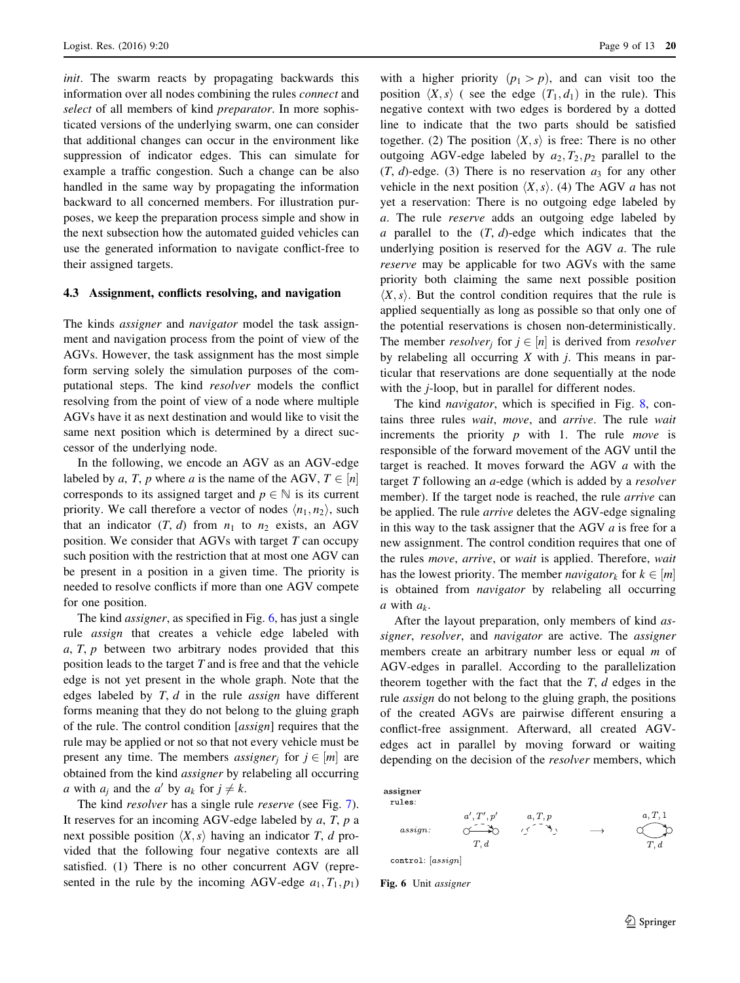init. The swarm reacts by propagating backwards this information over all nodes combining the rules connect and select of all members of kind *preparator*. In more sophisticated versions of the underlying swarm, one can consider that additional changes can occur in the environment like suppression of indicator edges. This can simulate for example a traffic congestion. Such a change can be also handled in the same way by propagating the information backward to all concerned members. For illustration purposes, we keep the preparation process simple and show in the next subsection how the automated guided vehicles can use the generated information to navigate conflict-free to their assigned targets.

#### 4.3 Assignment, conflicts resolving, and navigation

The kinds *assigner* and *navigator* model the task assignment and navigation process from the point of view of the AGVs. However, the task assignment has the most simple form serving solely the simulation purposes of the computational steps. The kind resolver models the conflict resolving from the point of view of a node where multiple AGVs have it as next destination and would like to visit the same next position which is determined by a direct successor of the underlying node.

In the following, we encode an AGV as an AGV-edge labeled by a, T, p where a is the name of the AGV,  $T \in [n]$ corresponds to its assigned target and  $p \in \mathbb{N}$  is its current priority. We call therefore a vector of nodes  $\langle n_1, n_2 \rangle$ , such that an indicator  $(T, d)$  from  $n_1$  to  $n_2$  exists, an AGV position. We consider that AGVs with target  $T$  can occupy such position with the restriction that at most one AGV can be present in a position in a given time. The priority is needed to resolve conflicts if more than one AGV compete for one position.

The kind *assigner*, as specified in Fig. 6, has just a single rule assign that creates a vehicle edge labeled with  $a, T, p$  between two arbitrary nodes provided that this position leads to the target  $T$  and is free and that the vehicle edge is not yet present in the whole graph. Note that the edges labeled by  $T, d$  in the rule *assign* have different forms meaning that they do not belong to the gluing graph of the rule. The control condition [assign] requires that the rule may be applied or not so that not every vehicle must be present any time. The members *assigner<sub>i</sub>* for  $j \in [m]$  are obtained from the kind assigner by relabeling all occurring a with  $a_i$  and the a' by  $a_k$  for  $j \neq k$ .

The kind *resolver* has a single rule *reserve* (see Fig. [7](#page-9-0)). It reserves for an incoming AGV-edge labeled by  $a$ ,  $T$ ,  $p$  a next possible position  $\langle X, s \rangle$  having an indicator T, d provided that the following four negative contexts are all satisfied. (1) There is no other concurrent AGV (represented in the rule by the incoming AGV-edge  $a_1, T_1, p_1$ )

with a higher priority  $(p_1 > p)$ , and can visit too the position  $\langle X, s \rangle$  ( see the edge  $(T_1, d_1)$  in the rule). This negative context with two edges is bordered by a dotted line to indicate that the two parts should be satisfied together. (2) The position  $\langle X, s \rangle$  is free: There is no other outgoing AGV-edge labeled by  $a_2$ ,  $T_2$ ,  $p_2$  parallel to the  $(T, d)$ -edge. (3) There is no reservation  $a_3$  for any other vehicle in the next position  $\langle X, s \rangle$ . (4) The AGV a has not yet a reservation: There is no outgoing edge labeled by a. The rule reserve adds an outgoing edge labeled by a parallel to the  $(T, d)$ -edge which indicates that the underlying position is reserved for the AGV  $a$ . The rule reserve may be applicable for two AGVs with the same priority both claiming the same next possible position  $\langle X, s \rangle$ . But the control condition requires that the rule is applied sequentially as long as possible so that only one of the potential reservations is chosen non-deterministically. The member *resolver<sub>i</sub>* for  $j \in [n]$  is derived from *resolver* by relabeling all occurring  $X$  with  $j$ . This means in particular that reservations are done sequentially at the node with the *j*-loop, but in parallel for different nodes.

The kind *navigator*, which is specified in Fig. [8,](#page-9-0) contains three rules wait, move, and arrive. The rule wait increments the priority  $p$  with 1. The rule *move* is responsible of the forward movement of the AGV until the target is reached. It moves forward the AGV a with the target  $T$  following an  $a$ -edge (which is added by a *resolver* member). If the target node is reached, the rule arrive can be applied. The rule arrive deletes the AGV-edge signaling in this way to the task assigner that the AGV  $a$  is free for a new assignment. The control condition requires that one of the rules move, arrive, or wait is applied. Therefore, wait has the lowest priority. The member *navigator<sub>k</sub>* for  $k \in [m]$ is obtained from *navigator* by relabeling all occurring a with  $a_k$ .

After the layout preparation, only members of kind assigner, resolver, and navigator are active. The assigner members create an arbitrary number less or equal  $m$  of AGV-edges in parallel. According to the parallelization theorem together with the fact that the  $T$ ,  $d$  edges in the rule assign do not belong to the gluing graph, the positions of the created AGVs are pairwise different ensuring a conflict-free assignment. Afterward, all created AGVedges act in parallel by moving forward or waiting depending on the decision of the resolver members, which



Fig. 6 Unit assigner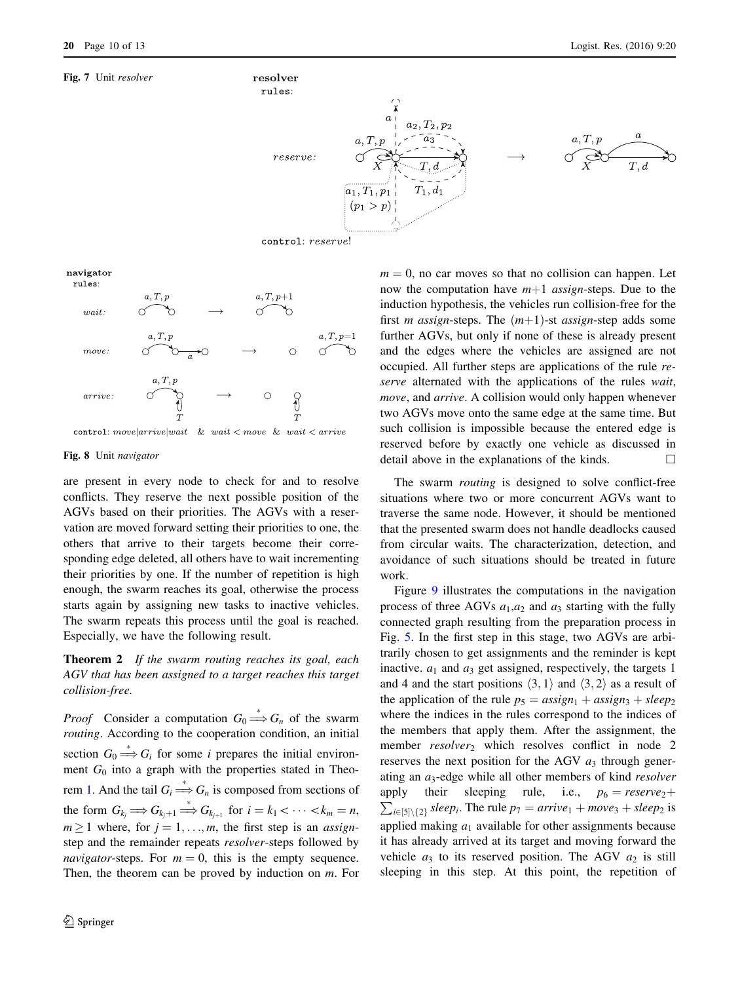<span id="page-9-0"></span>

navigator



#### Fig. 8 Unit navigator

are present in every node to check for and to resolve conflicts. They reserve the next possible position of the AGVs based on their priorities. The AGVs with a reservation are moved forward setting their priorities to one, the others that arrive to their targets become their corresponding edge deleted, all others have to wait incrementing their priorities by one. If the number of repetition is high enough, the swarm reaches its goal, otherwise the process starts again by assigning new tasks to inactive vehicles. The swarm repeats this process until the goal is reached. Especially, we have the following result.

Theorem 2 If the swarm routing reaches its goal, each AGV that has been assigned to a target reaches this target collision-free.

*Proof* Consider a computation  $G_0 \stackrel{*}{\Longrightarrow} G_n$  of the swarm routing. According to the cooperation condition, an initial section  $G_0 \stackrel{*}{\Longrightarrow} G_i$  for some *i* prepares the initial environment  $G_0$  into a graph with the properties stated in Theorem 1. And the tail  $G_i \stackrel{*}{\Longrightarrow} G_n$  is composed from sections of the form  $G_{k_j} \Longrightarrow G_{k_{j+1}} \stackrel{*}{\Longrightarrow} G_{k_{j+1}}$  for  $i = k_1 < \cdots < k_m = n$ ,  $m \ge 1$  where, for  $j = 1, \ldots, m$ , the first step is an *assign*step and the remainder repeats resolver-steps followed by *navigator*-steps. For  $m = 0$ , this is the empty sequence. Then, the theorem can be proved by induction on m. For

 $m = 0$ , no car moves so that no collision can happen. Let now the computation have  $m+1$  assign-steps. Due to the induction hypothesis, the vehicles run collision-free for the first *m* assign-steps. The  $(m+1)$ -st assign-step adds some further AGVs, but only if none of these is already present and the edges where the vehicles are assigned are not occupied. All further steps are applications of the rule reserve alternated with the applications of the rules wait, move, and arrive. A collision would only happen whenever two AGVs move onto the same edge at the same time. But such collision is impossible because the entered edge is reserved before by exactly one vehicle as discussed in detail above in the explanations of the kinds.  $\Box$ 

The swarm *routing* is designed to solve conflict-free situations where two or more concurrent AGVs want to traverse the same node. However, it should be mentioned that the presented swarm does not handle deadlocks caused from circular waits. The characterization, detection, and avoidance of such situations should be treated in future work.

Figure [9](#page-10-0) illustrates the computations in the navigation process of three AGVs  $a_1, a_2$  and  $a_3$  starting with the fully connected graph resulting from the preparation process in Fig. [5.](#page-7-0) In the first step in this stage, two AGVs are arbitrarily chosen to get assignments and the reminder is kept inactive.  $a_1$  and  $a_3$  get assigned, respectively, the targets 1 and 4 and the start positions  $\langle 3, 1 \rangle$  and  $\langle 3, 2 \rangle$  as a result of the application of the rule  $p_5 = assign_1 + assign_3 + sleep_2$ where the indices in the rules correspond to the indices of the members that apply them. After the assignment, the member  $resolver_2$  which resolves conflict in node 2 reserves the next position for the AGV  $a_3$  through generating an  $a_3$ -edge while all other members of kind *resolver* apply their sleeping rule,  $\sum_{i\in[5]\setminus\{2\}}$  sleep<sub>i</sub>. The rule  $p_7 =$  arrive<sub>1</sub> + move<sub>3</sub> + sleep<sub>2</sub> is i.e.,  $p_6 = \text{reserve}_2 +$ applied making  $a_1$  available for other assignments because it has already arrived at its target and moving forward the vehicle  $a_3$  to its reserved position. The AGV  $a_2$  is still sleeping in this step. At this point, the repetition of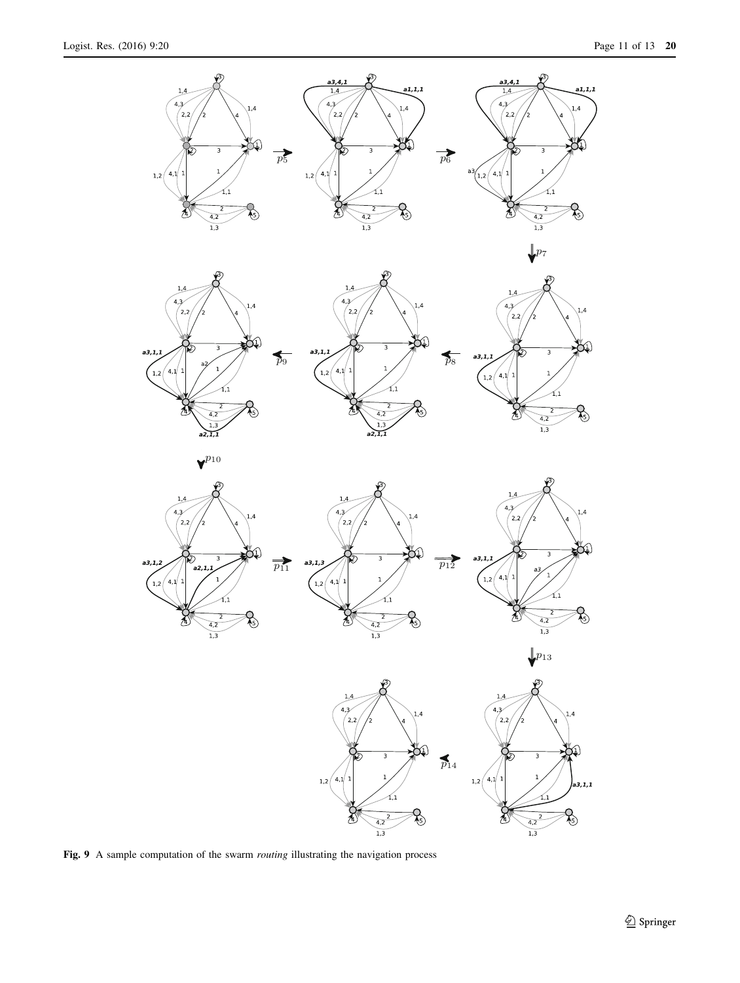<span id="page-10-0"></span>

Fig. 9 A sample computation of the swarm *routing* illustrating the navigation process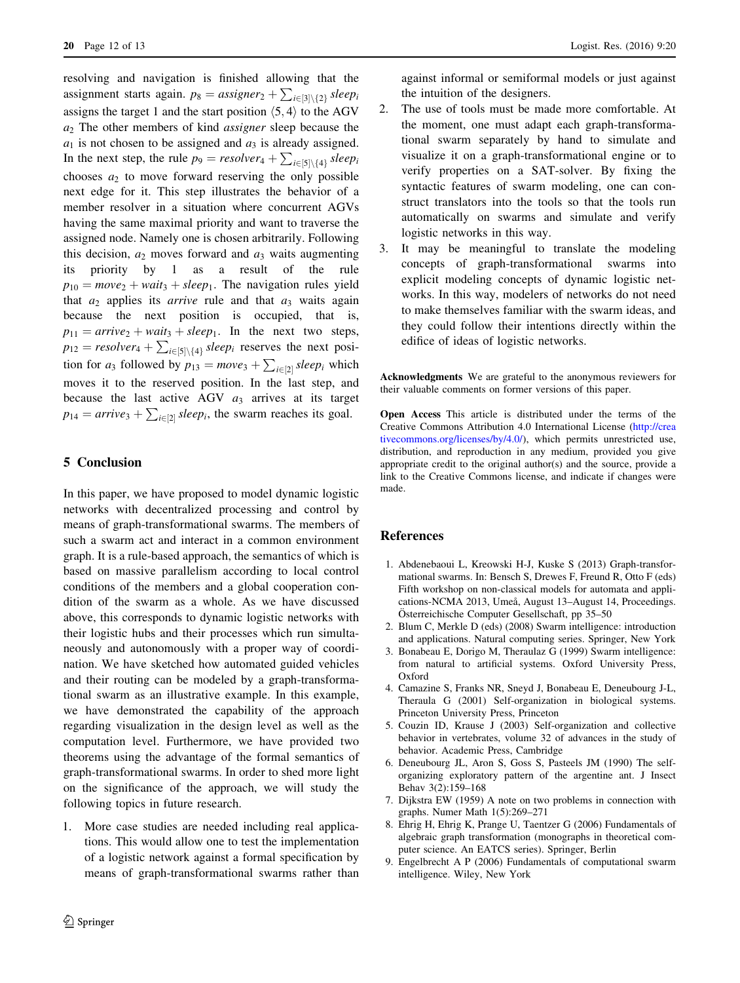<span id="page-11-0"></span>resolving and navigation is finished allowing that the assignment starts again.  $p_8 = \text{assigner}_2 + \sum_{i \in [3] \setminus \{2\}} \text{sleep}_i$ assigns the target 1 and the start position  $\langle 5, 4 \rangle$  to the AGV  $a_2$  The other members of kind *assigner* sleep because the  $a_1$  is not chosen to be assigned and  $a_3$  is already assigned. In the next step, the rule  $p_9 = resolver_4 + \sum_{i \in [5] \setminus \{4\}} sleep_i$ chooses  $a_2$  to move forward reserving the only possible next edge for it. This step illustrates the behavior of a member resolver in a situation where concurrent AGVs having the same maximal priority and want to traverse the assigned node. Namely one is chosen arbitrarily. Following this decision,  $a_2$  moves forward and  $a_3$  waits augmenting its priority by 1 as a result of the rule  $p_{10} = move_2 + wait_3 + sleep_1$ . The navigation rules yield that  $a_2$  applies its *arrive* rule and that  $a_3$  waits again because the next position is occupied, that is,  $p_{11} = arrive_2 + wait_3 + sleep_1$ . In the next two steps,  $p_{12}$  = resolver<sub>4</sub> +  $\sum_{i \in [5] \setminus \{4\}}$  sleep<sub>i</sub> reserves the next position for  $a_3$  followed by  $p_{13} = move_3 + \sum_{i \in [2]} sleep_i$  which moves it to the reserved position. In the last step, and because the last active AGV  $a_3$  arrives at its target  $p_{14} = arrive_3 + \sum_{i \in [2]} sleep_i$ , the swarm reaches its goal.

# 5 Conclusion

In this paper, we have proposed to model dynamic logistic networks with decentralized processing and control by means of graph-transformational swarms. The members of such a swarm act and interact in a common environment graph. It is a rule-based approach, the semantics of which is based on massive parallelism according to local control conditions of the members and a global cooperation condition of the swarm as a whole. As we have discussed above, this corresponds to dynamic logistic networks with their logistic hubs and their processes which run simultaneously and autonomously with a proper way of coordination. We have sketched how automated guided vehicles and their routing can be modeled by a graph-transformational swarm as an illustrative example. In this example, we have demonstrated the capability of the approach regarding visualization in the design level as well as the computation level. Furthermore, we have provided two theorems using the advantage of the formal semantics of graph-transformational swarms. In order to shed more light on the significance of the approach, we will study the following topics in future research.

1. More case studies are needed including real applications. This would allow one to test the implementation of a logistic network against a formal specification by means of graph-transformational swarms rather than against informal or semiformal models or just against the intuition of the designers.

- 2. The use of tools must be made more comfortable. At the moment, one must adapt each graph-transformational swarm separately by hand to simulate and visualize it on a graph-transformational engine or to verify properties on a SAT-solver. By fixing the syntactic features of swarm modeling, one can construct translators into the tools so that the tools run automatically on swarms and simulate and verify logistic networks in this way.
- 3. It may be meaningful to translate the modeling concepts of graph-transformational swarms into explicit modeling concepts of dynamic logistic networks. In this way, modelers of networks do not need to make themselves familiar with the swarm ideas, and they could follow their intentions directly within the edifice of ideas of logistic networks.

Acknowledgments We are grateful to the anonymous reviewers for their valuable comments on former versions of this paper.

Open Access This article is distributed under the terms of the Creative Commons Attribution 4.0 International License ([http://crea](http://creativecommons.org/licenses/by/4.0/) [tivecommons.org/licenses/by/4.0/\)](http://creativecommons.org/licenses/by/4.0/), which permits unrestricted use, distribution, and reproduction in any medium, provided you give appropriate credit to the original author(s) and the source, provide a link to the Creative Commons license, and indicate if changes were made.

### References

- 1. Abdenebaoui L, Kreowski H-J, Kuske S (2013) Graph-transformational swarms. In: Bensch S, Drewes F, Freund R, Otto F (eds) Fifth workshop on non-classical models for automata and applications-NCMA 2013, Umeå, August 13-August 14, Proceedings. Österreichische Computer Gesellschaft, pp 35–50
- 2. Blum C, Merkle D (eds) (2008) Swarm intelligence: introduction and applications. Natural computing series. Springer, New York
- 3. Bonabeau E, Dorigo M, Theraulaz G (1999) Swarm intelligence: from natural to artificial systems. Oxford University Press, Oxford
- 4. Camazine S, Franks NR, Sneyd J, Bonabeau E, Deneubourg J-L, Theraula G (2001) Self-organization in biological systems. Princeton University Press, Princeton
- 5. Couzin ID, Krause J (2003) Self-organization and collective behavior in vertebrates, volume 32 of advances in the study of behavior. Academic Press, Cambridge
- 6. Deneubourg JL, Aron S, Goss S, Pasteels JM (1990) The selforganizing exploratory pattern of the argentine ant. J Insect Behav 3(2):159–168
- 7. Dijkstra EW (1959) A note on two problems in connection with graphs. Numer Math 1(5):269–271
- 8. Ehrig H, Ehrig K, Prange U, Taentzer G (2006) Fundamentals of algebraic graph transformation (monographs in theoretical computer science. An EATCS series). Springer, Berlin
- 9. Engelbrecht A P (2006) Fundamentals of computational swarm intelligence. Wiley, New York